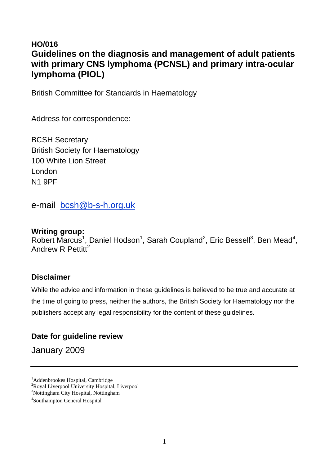# **HO/016 Guidelines on the diagnosis and management of adult patients with primary CNS lymphoma (PCNSL) and primary intra-ocular lymphoma (PIOL)**

British Committee for Standards in Haematology

Address for correspondence:

BCSH Secretary British Society for Haematology 100 White Lion Street London N1 9PF

e-mail bcsh@b-s-h.org.uk

## **Writing group:**

Robert Marcus<sup>1</sup>, Daniel Hodson<sup>1</sup>, Sarah Coupland<sup>2</sup>, Eric Bessell<sup>3</sup>, Ben Mead<sup>4</sup>, Andrew R Pettitt<sup>2</sup>

# **Disclaimer**

While the advice and information in these guidelines is believed to be true and accurate at the time of going to press, neither the authors, the British Society for Haematology nor the publishers accept any legal responsibility for the content of these guidelines.

# **Date for guideline review**

January 2009

<sup>&</sup>lt;sup>1</sup>Addenbrookes Hospital, Cambridge

<sup>2</sup> Royal Liverpool University Hospital, Liverpool

<sup>3</sup> Nottingham City Hospital, Nottingham

<sup>4</sup> Southampton General Hospital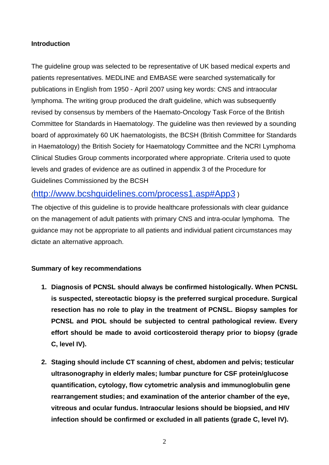## **Introduction**

The guideline group was selected to be representative of UK based medical experts and patients representatives. MEDLINE and EMBASE were searched systematically for publications in English from 1950 - April 2007 using key words: CNS and intraocular lymphoma. The writing group produced the draft guideline, which was subsequently revised by consensus by members of the Haemato-Oncology Task Force of the British Committee for Standards in Haematology. The guideline was then reviewed by a sounding board of approximately 60 UK haematologists, the BCSH (British Committee for Standards in Haematology) the British Society for Haematology Committee and the NCRI Lymphoma Clinical Studies Group comments incorporated where appropriate. Criteria used to quote levels and grades of evidence are as outlined in appendix 3 of the Procedure for Guidelines Commissioned by the BCSH

# (http://www.bcshguidelines.com/process1.asp#App3 )

The objective of this guideline is to provide healthcare professionals with clear guidance on the management of adult patients with primary CNS and intra-ocular lymphoma. The guidance may not be appropriate to all patients and individual patient circumstances may dictate an alternative approach.

## **Summary of key recommendations**

- **1. Diagnosis of PCNSL should always be confirmed histologically. When PCNSL is suspected, stereotactic biopsy is the preferred surgical procedure. Surgical resection has no role to play in the treatment of PCNSL. Biopsy samples for PCNSL and PIOL should be subjected to central pathological review. Every effort should be made to avoid corticosteroid therapy prior to biopsy (grade C, level IV).**
- **2. Staging should include CT scanning of chest, abdomen and pelvis; testicular ultrasonography in elderly males; lumbar puncture for CSF protein/glucose quantification, cytology, flow cytometric analysis and immunoglobulin gene rearrangement studies; and examination of the anterior chamber of the eye, vitreous and ocular fundus. Intraocular lesions should be biopsied, and HIV infection should be confirmed or excluded in all patients (grade C, level IV).**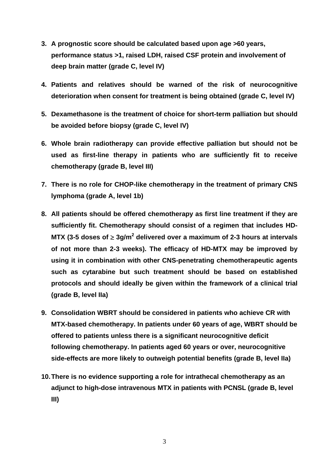- **3. A prognostic score should be calculated based upon age >60 years, performance status >1, raised LDH, raised CSF protein and involvement of deep brain matter (grade C, level IV)**
- **4. Patients and relatives should be warned of the risk of neurocognitive deterioration when consent for treatment is being obtained (grade C, level IV)**
- **5. Dexamethasone is the treatment of choice for short-term palliation but should be avoided before biopsy (grade C, level IV)**
- **6. Whole brain radiotherapy can provide effective palliation but should not be used as first-line therapy in patients who are sufficiently fit to receive chemotherapy (grade B, level III)**
- **7. There is no role for CHOP-like chemotherapy in the treatment of primary CNS lymphoma (grade A, level 1b)**
- **8. All patients should be offered chemotherapy as first line treatment if they are sufficiently fit. Chemotherapy should consist of a regimen that includes HD-MTX (3-5 doses of ≥ 3g/m<sup>2</sup> delivered over a maximum of 2-3 hours at intervals of not more than 2-3 weeks). The efficacy of HD-MTX may be improved by using it in combination with other CNS-penetrating chemotherapeutic agents such as cytarabine but such treatment should be based on established protocols and should ideally be given within the framework of a clinical trial (grade B, level IIa)**
- **9. Consolidation WBRT should be considered in patients who achieve CR with MTX-based chemotherapy. In patients under 60 years of age, WBRT should be offered to patients unless there is a significant neurocognitive deficit following chemotherapy. In patients aged 60 years or over, neurocognitive side-effects are more likely to outweigh potential benefits (grade B, level IIa)**
- **10. There is no evidence supporting a role for intrathecal chemotherapy as an adjunct to high-dose intravenous MTX in patients with PCNSL (grade B, level III)**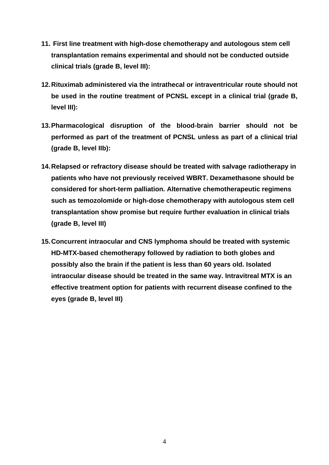- **11. First line treatment with high-dose chemotherapy and autologous stem cell transplantation remains experimental and should not be conducted outside clinical trials (grade B, level III):**
- **12. Rituximab administered via the intrathecal or intraventricular route should not be used in the routine treatment of PCNSL except in a clinical trial (grade B, level III):**
- **13. Pharmacological disruption of the blood-brain barrier should not be performed as part of the treatment of PCNSL unless as part of a clinical trial (grade B, level IIb):**
- **14. Relapsed or refractory disease should be treated with salvage radiotherapy in patients who have not previously received WBRT. Dexamethasone should be considered for short-term palliation. Alternative chemotherapeutic regimens such as temozolomide or high-dose chemotherapy with autologous stem cell transplantation show promise but require further evaluation in clinical trials (grade B, level III)**
- **15. Concurrent intraocular and CNS lymphoma should be treated with systemic HD-MTX-based chemotherapy followed by radiation to both globes and possibly also the brain if the patient is less than 60 years old. Isolated intraocular disease should be treated in the same way. Intravitreal MTX is an effective treatment option for patients with recurrent disease confined to the eyes (grade B, level III)**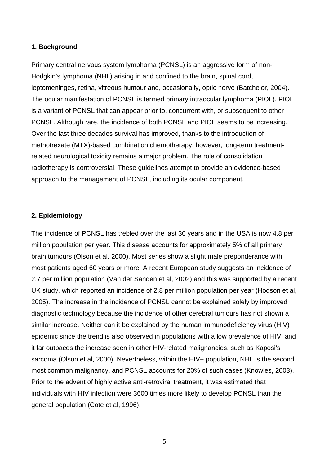#### **1. Background**

Primary central nervous system lymphoma (PCNSL) is an aggressive form of non-Hodgkin's lymphoma (NHL) arising in and confined to the brain, spinal cord, leptomeninges, retina, vitreous humour and, occasionally, optic nerve (Batchelor, 2004). The ocular manifestation of PCNSL is termed primary intraocular lymphoma (PIOL). PIOL is a variant of PCNSL that can appear prior to, concurrent with, or subsequent to other PCNSL. Although rare, the incidence of both PCNSL and PIOL seems to be increasing. Over the last three decades survival has improved, thanks to the introduction of methotrexate (MTX)-based combination chemotherapy; however, long-term treatmentrelated neurological toxicity remains a major problem. The role of consolidation radiotherapy is controversial. These guidelines attempt to provide an evidence-based approach to the management of PCNSL, including its ocular component.

#### **2. Epidemiology**

The incidence of PCNSL has trebled over the last 30 years and in the USA is now 4.8 per million population per year. This disease accounts for approximately 5% of all primary brain tumours (Olson et al, 2000). Most series show a slight male preponderance with most patients aged 60 years or more. A recent European study suggests an incidence of 2.7 per million population (Van der Sanden et al, 2002) and this was supported by a recent UK study, which reported an incidence of 2.8 per million population per year (Hodson et al, 2005). The increase in the incidence of PCNSL cannot be explained solely by improved diagnostic technology because the incidence of other cerebral tumours has not shown a similar increase. Neither can it be explained by the human immunodeficiency virus (HIV) epidemic since the trend is also observed in populations with a low prevalence of HIV, and it far outpaces the increase seen in other HIV-related malignancies, such as Kaposi's sarcoma (Olson et al, 2000). Nevertheless, within the HIV+ population, NHL is the second most common malignancy, and PCNSL accounts for 20% of such cases (Knowles, 2003). Prior to the advent of highly active anti-retroviral treatment, it was estimated that individuals with HIV infection were 3600 times more likely to develop PCNSL than the general population (Cote et al, 1996).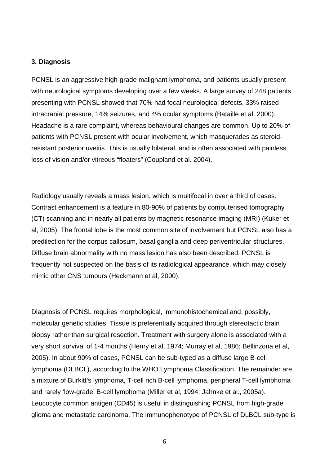#### **3. Diagnosis**

PCNSL is an aggressive high-grade malignant lymphoma, and patients usually present with neurological symptoms developing over a few weeks. A large survey of 248 patients presenting with PCNSL showed that 70% had focal neurological defects, 33% raised intracranial pressure, 14% seizures, and 4% ocular symptoms (Bataille et al, 2000). Headache is a rare complaint, whereas behavioural changes are common. Up to 20% of patients with PCNSL present with ocular involvement, which masquerades as steroidresistant posterior uveitis. This is usually bilateral, and is often associated with painless loss of vision and/or vitreous "floaters" (Coupland et al. 2004).

Radiology usually reveals a mass lesion, which is multifocal in over a third of cases. Contrast enhancement is a feature in 80-90% of patients by computerised tomography (CT) scanning and in nearly all patients by magnetic resonance imaging (MRI) (Kuker et al, 2005). The frontal lobe is the most common site of involvement but PCNSL also has a predilection for the corpus callosum, basal ganglia and deep periventricular structures. Diffuse brain abnormality with no mass lesion has also been described. PCNSL is frequently not suspected on the basis of its radiological appearance, which may closely mimic other CNS tumours (Heckmann et al, 2000).

Diagnosis of PCNSL requires morphological, immunohistochemical and, possibly, molecular genetic studies. Tissue is preferentially acquired through stereotactic brain biopsy rather than surgical resection. Treatment with surgery alone is associated with a very short survival of 1-4 months (Henry et al, 1974; Murray et al, 1986; Bellinzona et al, 2005). In about 90% of cases, PCNSL can be sub-typed as a diffuse large B-cell lymphoma (DLBCL), according to the WHO Lymphoma Classification. The remainder are a mixture of Burkitt's lymphoma, T-cell rich B-cell lymphoma, peripheral T-cell lymphoma and rarely 'low-grade' B-cell lymphoma (Miller et al, 1994; Jahnke et al., 2005a). Leucocyte common antigen (CD45) is useful in distinguishing PCNSL from high-grade glioma and metastatic carcinoma. The immunophenotype of PCNSL of DLBCL sub-type is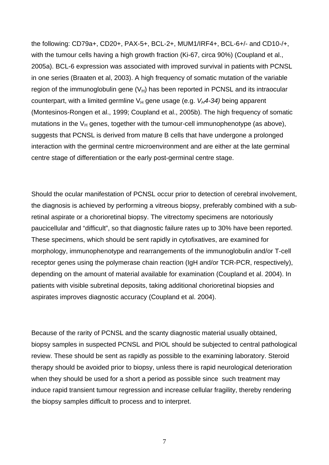the following: CD79a+, CD20+, PAX-5+, BCL-2+, MUM1/IRF4+, BCL-6+/- and CD10-/+, with the tumour cells having a high growth fraction (Ki-67, circa 90%) (Coupland et al., 2005a). BCL-6 expression was associated with improved survival in patients with PCNSL in one series (Braaten et al, 2003). A high frequency of somatic mutation of the variable region of the immunoglobulin gene  $(V_H)$  has been reported in PCNSL and its intraocular counterpart, with a limited germline  $V_H$  gene usage (e.g.  $V_H$ 4-34) being apparent (Montesinos-Rongen et al., 1999; Coupland et al., 2005b). The high frequency of somatic mutations in the  $V_H$  genes, together with the tumour-cell immunophenotype (as above), suggests that PCNSL is derived from mature B cells that have undergone a prolonged interaction with the germinal centre microenvironment and are either at the late germinal centre stage of differentiation or the early post-germinal centre stage.

Should the ocular manifestation of PCNSL occur prior to detection of cerebral involvement, the diagnosis is achieved by performing a vitreous biopsy, preferably combined with a subretinal aspirate or a chorioretinal biopsy. The vitrectomy specimens are notoriously paucicellular and "difficult", so that diagnostic failure rates up to 30% have been reported. These specimens, which should be sent rapidly in cytofixatives, are examined for morphology, immunophenotype and rearrangements of the immunoglobulin and/or T-cell receptor genes using the polymerase chain reaction (IgH and/or TCR-PCR, respectively), depending on the amount of material available for examination (Coupland et al. 2004). In patients with visible subretinal deposits, taking additional chorioretinal biopsies and aspirates improves diagnostic accuracy (Coupland et al. 2004).

Because of the rarity of PCNSL and the scanty diagnostic material usually obtained, biopsy samples in suspected PCNSL and PIOL should be subjected to central pathological review. These should be sent as rapidly as possible to the examining laboratory. Steroid therapy should be avoided prior to biopsy, unless there is rapid neurological deterioration when they should be used for a short a period as possible since such treatment may induce rapid transient tumour regression and increase cellular fragility, thereby rendering the biopsy samples difficult to process and to interpret.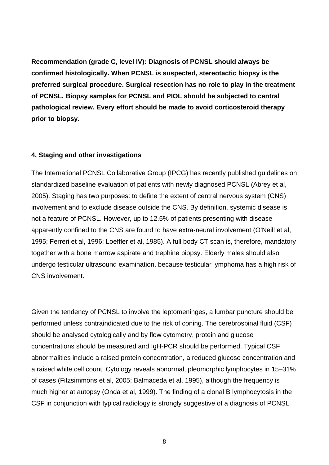**Recommendation (grade C, level IV): Diagnosis of PCNSL should always be confirmed histologically. When PCNSL is suspected, stereotactic biopsy is the preferred surgical procedure. Surgical resection has no role to play in the treatment of PCNSL. Biopsy samples for PCNSL and PIOL should be subjected to central pathological review. Every effort should be made to avoid corticosteroid therapy prior to biopsy.** 

#### **4. Staging and other investigations**

The International PCNSL Collaborative Group (IPCG) has recently published guidelines on standardized baseline evaluation of patients with newly diagnosed PCNSL (Abrey et al, 2005). Staging has two purposes: to define the extent of central nervous system (CNS) involvement and to exclude disease outside the CNS. By definition, systemic disease is not a feature of PCNSL. However, up to 12.5% of patients presenting with disease apparently confined to the CNS are found to have extra-neural involvement (O'Neill et al, 1995; Ferreri et al, 1996; Loeffler et al, 1985). A full body CT scan is, therefore, mandatory together with a bone marrow aspirate and trephine biopsy. Elderly males should also undergo testicular ultrasound examination, because testicular lymphoma has a high risk of CNS involvement.

Given the tendency of PCNSL to involve the leptomeninges, a lumbar puncture should be performed unless contraindicated due to the risk of coning. The cerebrospinal fluid (CSF) should be analysed cytologically and by flow cytometry, protein and glucose concentrations should be measured and IgH-PCR should be performed. Typical CSF abnormalities include a raised protein concentration, a reduced glucose concentration and a raised white cell count. Cytology reveals abnormal, pleomorphic lymphocytes in 15–31% of cases (Fitzsimmons et al, 2005; Balmaceda et al, 1995), although the frequency is much higher at autopsy (Onda et al, 1999). The finding of a clonal B lymphocytosis in the CSF in conjunction with typical radiology is strongly suggestive of a diagnosis of PCNSL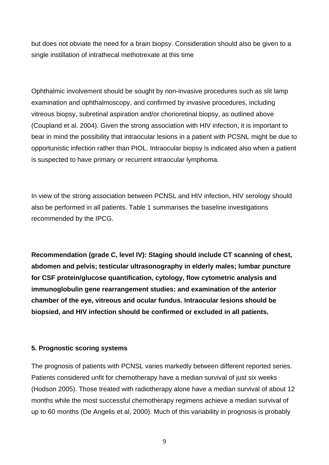but does not obviate the need for a brain biopsy. Consideration should also be given to a single instillation of intrathecal methotrexate at this time

Ophthalmic involvement should be sought by non-invasive procedures such as slit lamp examination and ophthalmoscopy, and confirmed by invasive procedures, including vitreous biopsy, subretinal aspiration and/or chorioretinal biopsy, as outlined above (Coupland et al. 2004). Given the strong association with HIV infection, it is important to bear in mind the possibility that intraocular lesions in a patient with PCSNL might be due to opportunistic infection rather than PIOL. Intraocular biopsy is indicated also when a patient is suspected to have primary or recurrent intraocular lymphoma.

In view of the strong association between PCNSL and HIV infection, HIV serology should also be performed in all patients. Table 1 summarises the baseline investigations recommended by the IPCG.

**Recommendation (grade C, level IV): Staging should include CT scanning of chest, abdomen and pelvis; testicular ultrasonography in elderly males; lumbar puncture for CSF protein/glucose quantification, cytology, flow cytometric analysis and immunoglobulin gene rearrangement studies; and examination of the anterior chamber of the eye, vitreous and ocular fundus. Intraocular lesions should be biopsied, and HIV infection should be confirmed or excluded in all patients.** 

## **5. Prognostic scoring systems**

The prognosis of patients with PCNSL varies markedly between different reported series. Patients considered unfit for chemotherapy have a median survival of just six weeks (Hodson 2005). Those treated with radiotherapy alone have a median survival of about 12 months while the most successful chemotherapy regimens achieve a median survival of up to 60 months (De Angelis et al, 2000). Much of this variability in prognosis is probably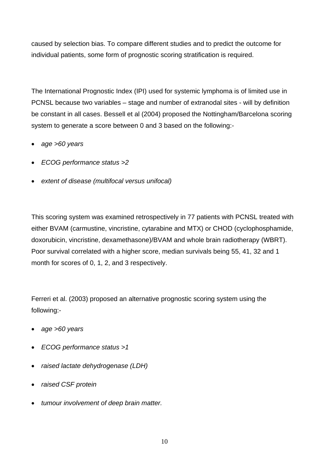caused by selection bias. To compare different studies and to predict the outcome for individual patients, some form of prognostic scoring stratification is required.

The International Prognostic Index (IPI) used for systemic lymphoma is of limited use in PCNSL because two variables – stage and number of extranodal sites - will by definition be constant in all cases. Bessell et al (2004) proposed the Nottingham/Barcelona scoring system to generate a score between 0 and 3 based on the following:-

- *age >60 years*
- *ECOG performance status >2*
- *extent of disease (multifocal versus unifocal)*

This scoring system was examined retrospectively in 77 patients with PCNSL treated with either BVAM (carmustine, vincristine, cytarabine and MTX) or CHOD (cyclophosphamide, doxorubicin, vincristine, dexamethasone)/BVAM and whole brain radiotherapy (WBRT). Poor survival correlated with a higher score, median survivals being 55, 41, 32 and 1 month for scores of 0, 1, 2, and 3 respectively.

Ferreri et al. (2003) proposed an alternative prognostic scoring system using the following:-

- *age >60 years*
- *ECOG performance status >1*
- *raised lactate dehydrogenase (LDH)*
- *raised CSF protein*
- *tumour involvement of deep brain matter.*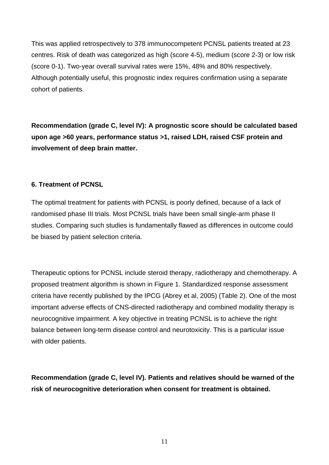This was applied retrospectively to 378 immunocompetent PCNSL patients treated at 23 centres. Risk of death was categorized as high (score 4-5), medium (score 2-3) or low risk (score 0-1). Two-year overall survival rates were 15%, 48% and 80% respectively. Although potentially useful, this prognostic index requires confirmation using a separate cohort of patients.

**Recommendation (grade C, level IV): A prognostic score should be calculated based upon age >60 years, performance status >1, raised LDH, raised CSF protein and involvement of deep brain matter.** 

## **6. Treatment of PCNSL**

The optimal treatment for patients with PCNSL is poorly defined, because of a lack of randomised phase III trials. Most PCNSL trials have been small single-arm phase II studies. Comparing such studies is fundamentally flawed as differences in outcome could be biased by patient selection criteria.

Therapeutic options for PCNSL include steroid therapy, radiotherapy and chemotherapy. A proposed treatment algorithm is shown in Figure 1. Standardized response assessment criteria have recently published by the IPCG (Abrey et al, 2005) (Table 2). One of the most important adverse effects of CNS-directed radiotherapy and combined modality therapy is neurocognitive impairment. A key objective in treating PCNSL is to achieve the right balance between long-term disease control and neurotoxicity. This is a particular issue with older patients.

**Recommendation (grade C, level IV). Patients and relatives should be warned of the risk of neurocognitive deterioration when consent for treatment is obtained.**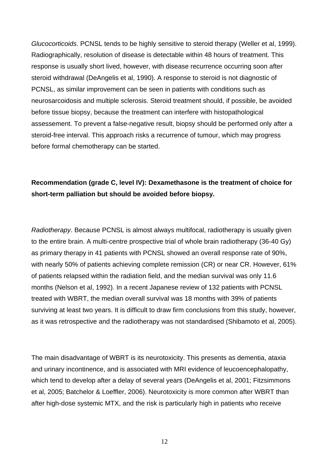*Glucocorticoids*. PCNSL tends to be highly sensitive to steroid therapy (Weller et al, 1999). Radiographically, resolution of disease is detectable within 48 hours of treatment. This response is usually short lived, however, with disease recurrence occurring soon after steroid withdrawal (DeAngelis et al, 1990). A response to steroid is not diagnostic of PCNSL, as similar improvement can be seen in patients with conditions such as neurosarcoidosis and multiple sclerosis. Steroid treatment should, if possible, be avoided before tissue biopsy, because the treatment can interfere with histopathological assessement. To prevent a false-negative result, biopsy should be performed only after a steroid-free interval. This approach risks a recurrence of tumour, which may progress before formal chemotherapy can be started.

# **Recommendation (grade C, level IV): Dexamethasone is the treatment of choice for short-term palliation but should be avoided before biopsy.**

*Radiotherapy*. Because PCNSL is almost always multifocal, radiotherapy is usually given to the entire brain. A multi-centre prospective trial of whole brain radiotherapy (36-40 Gy) as primary therapy in 41 patients with PCNSL showed an overall response rate of 90%, with nearly 50% of patients achieving complete remission (CR) or near CR. However, 61% of patients relapsed within the radiation field, and the median survival was only 11.6 months (Nelson et al, 1992). In a recent Japanese review of 132 patients with PCNSL treated with WBRT, the median overall survival was 18 months with 39% of patients surviving at least two years. It is difficult to draw firm conclusions from this study, however, as it was retrospective and the radiotherapy was not standardised (Shibamoto et al, 2005).

The main disadvantage of WBRT is its neurotoxicity. This presents as dementia, ataxia and urinary incontinence, and is associated with MRI evidence of leucoencephalopathy, which tend to develop after a delay of several years (DeAngelis et al, 2001; Fitzsimmons et al, 2005; Batchelor & Loeffler, 2006). Neurotoxicity is more common after WBRT than after high-dose systemic MTX, and the risk is particularly high in patients who receive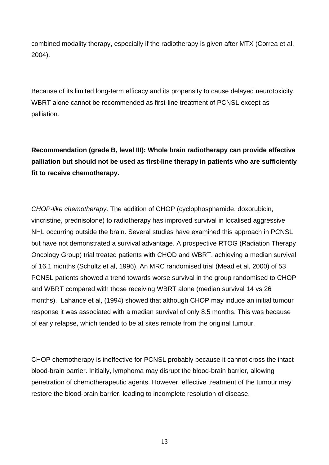combined modality therapy, especially if the radiotherapy is given after MTX (Correa et al, 2004).

Because of its limited long-term efficacy and its propensity to cause delayed neurotoxicity, WBRT alone cannot be recommended as first-line treatment of PCNSL except as palliation.

**Recommendation (grade B, level III): Whole brain radiotherapy can provide effective palliation but should not be used as first-line therapy in patients who are sufficiently fit to receive chemotherapy.** 

*CHOP-like chemotherapy*. The addition of CHOP (cyclophosphamide, doxorubicin, vincristine, prednisolone) to radiotherapy has improved survival in localised aggressive NHL occurring outside the brain. Several studies have examined this approach in PCNSL but have not demonstrated a survival advantage. A prospective RTOG (Radiation Therapy Oncology Group) trial treated patients with CHOD and WBRT, achieving a median survival of 16.1 months (Schultz et al, 1996). An MRC randomised trial (Mead et al, 2000) of 53 PCNSL patients showed a trend towards worse survival in the group randomised to CHOP and WBRT compared with those receiving WBRT alone (median survival 14 vs 26 months). Lahance et al, (1994) showed that although CHOP may induce an initial tumour response it was associated with a median survival of only 8.5 months. This was because of early relapse, which tended to be at sites remote from the original tumour.

CHOP chemotherapy is ineffective for PCNSL probably because it cannot cross the intact blood-brain barrier. Initially, lymphoma may disrupt the blood-brain barrier, allowing penetration of chemotherapeutic agents. However, effective treatment of the tumour may restore the blood-brain barrier, leading to incomplete resolution of disease.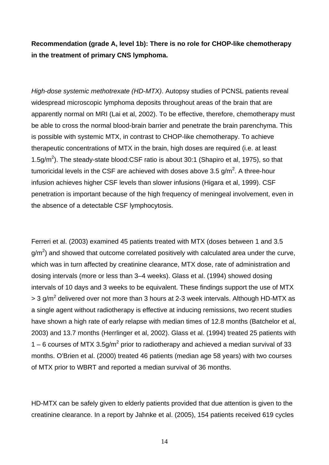**Recommendation (grade A, level 1b): There is no role for CHOP-like chemotherapy in the treatment of primary CNS lymphoma.** 

*High-dose systemic methotrexate (HD-MTX)*. Autopsy studies of PCNSL patients reveal widespread microscopic lymphoma deposits throughout areas of the brain that are apparently normal on MRI (Lai et al, 2002). To be effective, therefore, chemotherapy must be able to cross the normal blood-brain barrier and penetrate the brain parenchyma. This is possible with systemic MTX, in contrast to CHOP-like chemotherapy. To achieve therapeutic concentrations of MTX in the brain, high doses are required (i.e. at least 1.5g/ $m^2$ ). The steady-state blood:CSF ratio is about 30:1 (Shapiro et al, 1975), so that tumoricidal levels in the CSF are achieved with doses above 3.5 g/m<sup>2</sup>. A three-hour infusion achieves higher CSF levels than slower infusions (Higara et al, 1999). CSF penetration is important because of the high frequency of meningeal involvement, even in the absence of a detectable CSF lymphocytosis.

Ferreri et al. (2003) examined 45 patients treated with MTX (doses between 1 and 3.5 g/m<sup>2</sup>) and showed that outcome correlated positively with calculated area under the curve, which was in turn affected by creatinine clearance, MTX dose, rate of administration and dosing intervals (more or less than 3–4 weeks). Glass et al. (1994) showed dosing intervals of 10 days and 3 weeks to be equivalent. These findings support the use of MTX > 3 g/m<sup>2</sup> delivered over not more than 3 hours at 2-3 week intervals. Although HD-MTX as a single agent without radiotherapy is effective at inducing remissions, two recent studies have shown a high rate of early relapse with median times of 12.8 months (Batchelor et al, 2003) and 13.7 months (Herrlinger et al, 2002). Glass et al. (1994) treated 25 patients with 1 – 6 courses of MTX 3.5g/m<sup>2</sup> prior to radiotherapy and achieved a median survival of 33 months. O'Brien et al. (2000) treated 46 patients (median age 58 years) with two courses of MTX prior to WBRT and reported a median survival of 36 months.

HD-MTX can be safely given to elderly patients provided that due attention is given to the creatinine clearance. In a report by Jahnke et al. (2005), 154 patients received 619 cycles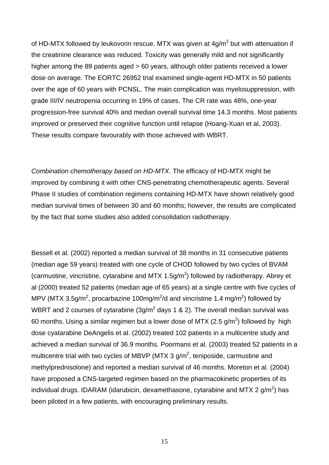of HD-MTX followed by leukovorin rescue. MTX was given at  $4g/m^2$  but with attenuation if the creatinine clearance was reduced. Toxicity was generally mild and not significantly higher among the 89 patients aged > 60 years, although older patients received a lower dose on average. The EORTC 26952 trial examined single-agent HD-MTX in 50 patients over the age of 60 years with PCNSL. The main complication was myelosuppression, with grade III/IV neutropenia occurring in 19% of cases. The CR rate was 48%, one-year progression-free survival 40% and median overall survival time 14.3 months. Most patients improved or preserved their cognitive function until relapse (Hoang-Xuan et al, 2003). These results compare favourably with those achieved with WBRT.

*Combination chemotherapy based on HD-MTX*. The efficacy of HD-MTX might be improved by combining it with other CNS-penetrating chemotherapeutic agents. Several Phase II studies of combination regimens containing HD-MTX have shown relatively good median survival times of between 30 and 60 months; however, the results are complicated by the fact that some studies also added consolidation radiotherapy.

Bessell et al. (2002) reported a median survival of 38 months in 31 consecutive patients (median age 59 years) treated with one cycle of CHOD followed by two cycles of BVAM (carmustine, vincristine, cytarabine and MTX 1.5g/m<sup>2</sup>) followed by radiotherapy. Abrey et al (2000) treated 52 patients (median age of 65 years) at a single centre with five cycles of MPV (MTX 3.5g/m<sup>2</sup>, procarbazine 100mg/m<sup>2</sup>/d and vincristine 1.4 mg/m<sup>2</sup>) followed by WBRT and 2 courses of cytarabine (3g/m<sup>2</sup> days 1 & 2). The overall median survival was 60 months. Using a similar regimen but a lower dose of MTX (2.5 g/m<sup>2</sup>) followed by high dose cyatarabine DeAngelis et al. (2002) treated 102 patients in a multicentre study and achieved a median survival of 36.9 months. Poormans et al. (2003) treated 52 patients in a multicentre trial with two cycles of MBVP (MTX 3 g/m<sup>2</sup>, teniposide, carmustine and methylprednisolone) and reported a median survival of 46 months. Moreton et al. (2004) have proposed a CNS-targeted regimen based on the pharmacokinetic properties of its individual drugs. IDARAM (idarubicin, dexamethasone, cytarabine and MTX 2  $g/m^2$ ) has been piloted in a few patients, with encouraging preliminary results.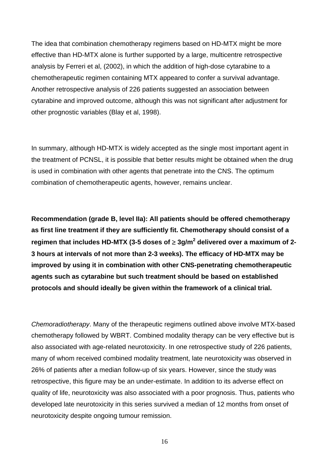The idea that combination chemotherapy regimens based on HD-MTX might be more effective than HD-MTX alone is further supported by a large, multicentre retrospective analysis by Ferreri et al, (2002), in which the addition of high-dose cytarabine to a chemotherapeutic regimen containing MTX appeared to confer a survival advantage. Another retrospective analysis of 226 patients suggested an association between cytarabine and improved outcome, although this was not significant after adjustment for other prognostic variables (Blay et al, 1998).

In summary, although HD-MTX is widely accepted as the single most important agent in the treatment of PCNSL, it is possible that better results might be obtained when the drug is used in combination with other agents that penetrate into the CNS. The optimum combination of chemotherapeutic agents, however, remains unclear.

**Recommendation (grade B, level IIa): All patients should be offered chemotherapy as first line treatment if they are sufficiently fit. Chemotherapy should consist of a regimen that includes HD-MTX (3-5 doses of** ≥ **3g/m2 delivered over a maximum of 2- 3 hours at intervals of not more than 2-3 weeks). The efficacy of HD-MTX may be improved by using it in combination with other CNS-penetrating chemotherapeutic agents such as cytarabine but such treatment should be based on established protocols and should ideally be given within the framework of a clinical trial.** 

*Chemoradiotherapy*. Many of the therapeutic regimens outlined above involve MTX-based chemotherapy followed by WBRT. Combined modality therapy can be very effective but is also associated with age-related neurotoxicity. In one retrospective study of 226 patients, many of whom received combined modality treatment, late neurotoxicity was observed in 26% of patients after a median follow-up of six years. However, since the study was retrospective, this figure may be an under-estimate. In addition to its adverse effect on quality of life, neurotoxicity was also associated with a poor prognosis. Thus, patients who developed late neurotoxicity in this series survived a median of 12 months from onset of neurotoxicity despite ongoing tumour remission.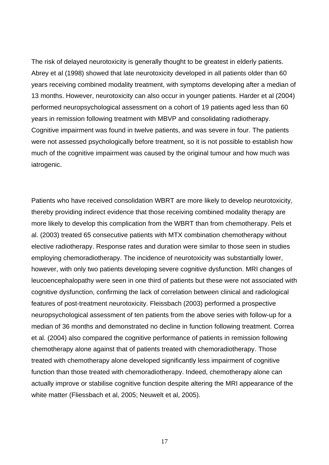The risk of delayed neurotoxicity is generally thought to be greatest in elderly patients. Abrey et al (1998) showed that late neurotoxicity developed in all patients older than 60 years receiving combined modality treatment, with symptoms developing after a median of 13 months. However, neurotoxicity can also occur in younger patients. Harder et al (2004) performed neuropsychological assessment on a cohort of 19 patients aged less than 60 years in remission following treatment with MBVP and consolidating radiotherapy. Cognitive impairment was found in twelve patients, and was severe in four. The patients were not assessed psychologically before treatment, so it is not possible to establish how much of the cognitive impairment was caused by the original tumour and how much was iatrogenic.

Patients who have received consolidation WBRT are more likely to develop neurotoxicity, thereby providing indirect evidence that those receiving combined modality therapy are more likely to develop this complication from the WBRT than from chemotherapy. Pels et al. (2003) treated 65 consecutive patients with MTX combination chemotherapy without elective radiotherapy. Response rates and duration were similar to those seen in studies employing chemoradiotherapy. The incidence of neurotoxicity was substantially lower, however, with only two patients developing severe cognitive dysfunction. MRI changes of leucoencephalopathy were seen in one third of patients but these were not associated with cognitive dysfunction, confirming the lack of correlation between clinical and radiological features of post-treatment neurotoxicity. Fleissbach (2003) performed a prospective neuropsychological assessment of ten patients from the above series with follow-up for a median of 36 months and demonstrated no decline in function following treatment. Correa et al. (2004) also compared the cognitive performance of patients in remission following chemotherapy alone against that of patients treated with chemoradiotherapy. Those treated with chemotherapy alone developed significantly less impairment of cognitive function than those treated with chemoradiotherapy. Indeed, chemotherapy alone can actually improve or stabilise cognitive function despite altering the MRI appearance of the white matter (Fliessbach et al, 2005; Neuwelt et al, 2005).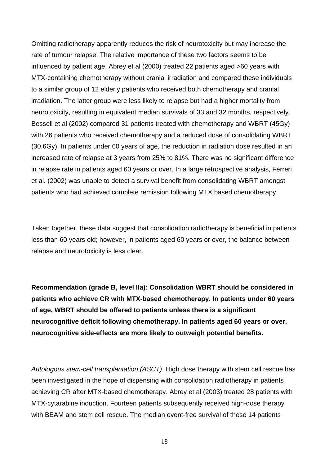Omitting radiotherapy apparently reduces the risk of neurotoxicity but may increase the rate of tumour relapse. The relative importance of these two factors seems to be influenced by patient age. Abrey et al (2000) treated 22 patients aged >60 years with MTX-containing chemotherapy without cranial irradiation and compared these individuals to a similar group of 12 elderly patients who received both chemotherapy and cranial irradiation. The latter group were less likely to relapse but had a higher mortality from neurotoxicity, resulting in equivalent median survivals of 33 and 32 months, respectively. Bessell et al (2002) compared 31 patients treated with chemotherapy and WBRT (45Gy) with 26 patients who received chemotherapy and a reduced dose of consolidating WBRT (30.6Gy). In patients under 60 years of age, the reduction in radiation dose resulted in an increased rate of relapse at 3 years from 25% to 81%. There was no significant difference in relapse rate in patients aged 60 years or over. In a large retrospective analysis, Ferreri et al. (2002) was unable to detect a survival benefit from consolidating WBRT amongst patients who had achieved complete remission following MTX based chemotherapy.

Taken together, these data suggest that consolidation radiotherapy is beneficial in patients less than 60 years old; however, in patients aged 60 years or over, the balance between relapse and neurotoxicity is less clear.

**Recommendation (grade B, level IIa): Consolidation WBRT should be considered in patients who achieve CR with MTX-based chemotherapy. In patients under 60 years of age, WBRT should be offered to patients unless there is a significant neurocognitive deficit following chemotherapy. In patients aged 60 years or over, neurocognitive side-effects are more likely to outweigh potential benefits.** 

*Autologous stem-cell transplantation (ASCT)*. High dose therapy with stem cell rescue has been investigated in the hope of dispensing with consolidation radiotherapy in patients achieving CR after MTX-based chemotherapy. Abrey et al (2003) treated 28 patients with MTX-cytarabine induction. Fourteen patients subsequently received high-dose therapy with BEAM and stem cell rescue. The median event-free survival of these 14 patients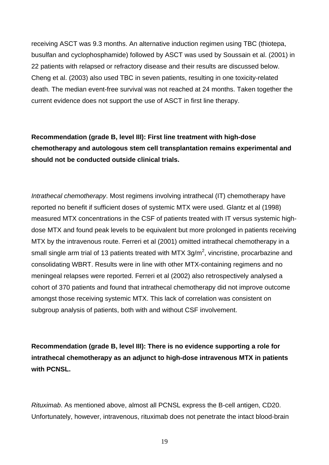receiving ASCT was 9.3 months. An alternative induction regimen using TBC (thiotepa, busulfan and cyclophosphamide) followed by ASCT was used by Soussain et al. (2001) in 22 patients with relapsed or refractory disease and their results are discussed below. Cheng et al. (2003) also used TBC in seven patients, resulting in one toxicity-related death. The median event-free survival was not reached at 24 months. Taken together the current evidence does not support the use of ASCT in first line therapy.

**Recommendation (grade B, level III): First line treatment with high-dose chemotherapy and autologous stem cell transplantation remains experimental and should not be conducted outside clinical trials.** 

*Intrathecal chemotherapy*. Most regimens involving intrathecal (IT) chemotherapy have reported no benefit if sufficient doses of systemic MTX were used. Glantz et al (1998) measured MTX concentrations in the CSF of patients treated with IT versus systemic highdose MTX and found peak levels to be equivalent but more prolonged in patients receiving MTX by the intravenous route. Ferreri et al (2001) omitted intrathecal chemotherapy in a small single arm trial of 13 patients treated with MTX 3g/m<sup>2</sup>, vincristine, procarbazine and consolidating WBRT. Results were in line with other MTX-containing regimens and no meningeal relapses were reported. Ferreri et al (2002) also retrospectively analysed a cohort of 370 patients and found that intrathecal chemotherapy did not improve outcome amongst those receiving systemic MTX. This lack of correlation was consistent on subgroup analysis of patients, both with and without CSF involvement.

**Recommendation (grade B, level III): There is no evidence supporting a role for intrathecal chemotherapy as an adjunct to high-dose intravenous MTX in patients with PCNSL.** 

*Rituximab*. As mentioned above, almost all PCNSL express the B-cell antigen, CD20. Unfortunately, however, intravenous, rituximab does not penetrate the intact blood-brain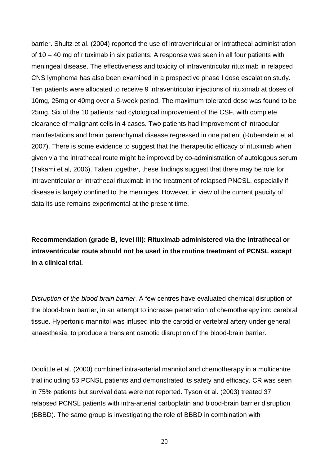barrier. Shultz et al. (2004) reported the use of intraventricular or intrathecal administration of 10 – 40 mg of rituximab in six patients. A response was seen in all four patients with meningeal disease. The effectiveness and toxicity of intraventricular rituximab in relapsed CNS lymphoma has also been examined in a prospective phase I dose escalation study. Ten patients were allocated to receive 9 intraventricular injections of rituximab at doses of 10mg, 25mg or 40mg over a 5-week period. The maximum tolerated dose was found to be 25mg. Six of the 10 patients had cytological improvement of the CSF, with complete clearance of malignant cells in 4 cases. Two patients had improvement of intraocular manifestations and brain parenchymal disease regressed in one patient (Rubenstein et al. 2007). There is some evidence to suggest that the therapeutic efficacy of rituximab when given via the intrathecal route might be improved by co-administration of autologous serum (Takami et al, 2006). Taken together, these findings suggest that there may be role for intraventricular or intrathecal rituximab in the treatment of relapsed PNCSL, especially if disease is largely confined to the meninges. However, in view of the current paucity of data its use remains experimental at the present time.

**Recommendation (grade B, level III): Rituximab administered via the intrathecal or intraventricular route should not be used in the routine treatment of PCNSL except in a clinical trial.** 

*Disruption of the blood brain barrier*. A few centres have evaluated chemical disruption of the blood-brain barrier, in an attempt to increase penetration of chemotherapy into cerebral tissue. Hypertonic mannitol was infused into the carotid or vertebral artery under general anaesthesia, to produce a transient osmotic disruption of the blood-brain barrier.

Doolittle et al. (2000) combined intra-arterial mannitol and chemotherapy in a multicentre trial including 53 PCNSL patients and demonstrated its safety and efficacy. CR was seen in 75% patients but survival data were not reported. Tyson et al. (2003) treated 37 relapsed PCNSL patients with intra-arterial carboplatin and blood-brain barrier disruption (BBBD). The same group is investigating the role of BBBD in combination with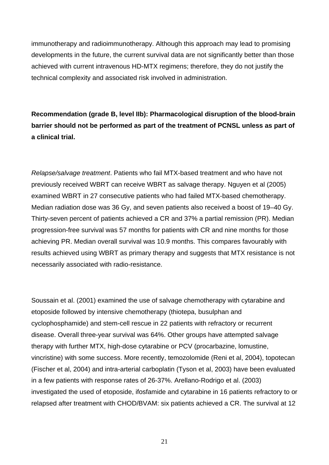immunotherapy and radioimmunotherapy. Although this approach may lead to promising developments in the future, the current survival data are not significantly better than those achieved with current intravenous HD-MTX regimens; therefore, they do not justify the technical complexity and associated risk involved in administration.

**Recommendation (grade B, level IIb): Pharmacological disruption of the blood-brain barrier should not be performed as part of the treatment of PCNSL unless as part of a clinical trial.** 

*Relapse/salvage treatment*. Patients who fail MTX-based treatment and who have not previously received WBRT can receive WBRT as salvage therapy. Nguyen et al (2005) examined WBRT in 27 consecutive patients who had failed MTX-based chemotherapy. Median radiation dose was 36 Gy, and seven patients also received a boost of 19–40 Gy. Thirty-seven percent of patients achieved a CR and 37% a partial remission (PR). Median progression-free survival was 57 months for patients with CR and nine months for those achieving PR. Median overall survival was 10.9 months. This compares favourably with results achieved using WBRT as primary therapy and suggests that MTX resistance is not necessarily associated with radio-resistance.

Soussain et al. (2001) examined the use of salvage chemotherapy with cytarabine and etoposide followed by intensive chemotherapy (thiotepa, busulphan and cyclophosphamide) and stem-cell rescue in 22 patients with refractory or recurrent disease. Overall three-year survival was 64%. Other groups have attempted salvage therapy with further MTX, high-dose cytarabine or PCV (procarbazine, lomustine, vincristine) with some success. More recently, temozolomide (Reni et al, 2004), topotecan (Fischer et al, 2004) and intra-arterial carboplatin (Tyson et al, 2003) have been evaluated in a few patients with response rates of 26-37%. Arellano-Rodrigo et al. (2003) investigated the used of etoposide, ifosfamide and cytarabine in 16 patients refractory to or relapsed after treatment with CHOD/BVAM: six patients achieved a CR. The survival at 12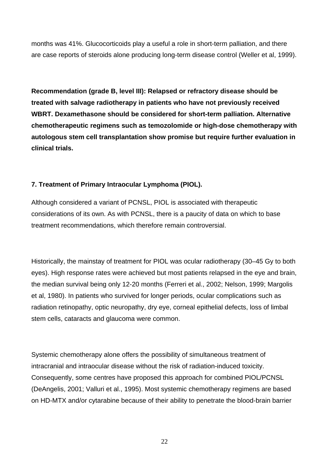months was 41%. Glucocorticoids play a useful a role in short-term palliation, and there are case reports of steroids alone producing long-term disease control (Weller et al, 1999).

**Recommendation (grade B, level III): Relapsed or refractory disease should be treated with salvage radiotherapy in patients who have not previously received WBRT. Dexamethasone should be considered for short-term palliation. Alternative chemotherapeutic regimens such as temozolomide or high-dose chemotherapy with autologous stem cell transplantation show promise but require further evaluation in clinical trials.** 

## **7. Treatment of Primary Intraocular Lymphoma (PIOL).**

Although considered a variant of PCNSL, PIOL is associated with therapeutic considerations of its own. As with PCNSL, there is a paucity of data on which to base treatment recommendations, which therefore remain controversial.

Historically, the mainstay of treatment for PIOL was ocular radiotherapy (30–45 Gy to both eyes). High response rates were achieved but most patients relapsed in the eye and brain, the median survival being only 12-20 months (Ferreri et al., 2002; Nelson, 1999; Margolis et al, 1980). In patients who survived for longer periods, ocular complications such as radiation retinopathy, optic neuropathy, dry eye, corneal epithelial defects, loss of limbal stem cells, cataracts and glaucoma were common.

Systemic chemotherapy alone offers the possibility of simultaneous treatment of intracranial and intraocular disease without the risk of radiation-induced toxicity. Consequently, some centres have proposed this approach for combined PIOL/PCNSL (DeAngelis, 2001; Valluri et al., 1995). Most systemic chemotherapy regimens are based on HD-MTX and/or cytarabine because of their ability to penetrate the blood-brain barrier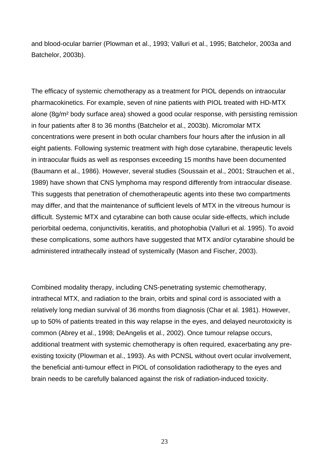and blood-ocular barrier (Plowman et al., 1993; Valluri et al., 1995; Batchelor, 2003a and Batchelor, 2003b).

The efficacy of systemic chemotherapy as a treatment for PIOL depends on intraocular pharmacokinetics. For example, seven of nine patients with PIOL treated with HD-MTX alone (8g/m² body surface area) showed a good ocular response, with persisting remission in four patients after 8 to 36 months (Batchelor et al., 2003b). Micromolar MTX concentrations were present in both ocular chambers four hours after the infusion in all eight patients. Following systemic treatment with high dose cytarabine, therapeutic levels in intraocular fluids as well as responses exceeding 15 months have been documented (Baumann et al., 1986). However, several studies (Soussain et al., 2001; Strauchen et al., 1989) have shown that CNS lymphoma may respond differently from intraocular disease. This suggests that penetration of chemotherapeutic agents into these two compartments may differ, and that the maintenance of sufficient levels of MTX in the vitreous humour is difficult. Systemic MTX and cytarabine can both cause ocular side-effects, which include periorbital oedema, conjunctivitis, keratitis, and photophobia (Valluri et al. 1995). To avoid these complications, some authors have suggested that MTX and/or cytarabine should be administered intrathecally instead of systemically (Mason and Fischer, 2003).

Combined modality therapy, including CNS-penetrating systemic chemotherapy, intrathecal MTX, and radiation to the brain, orbits and spinal cord is associated with a relatively long median survival of 36 months from diagnosis (Char et al. 1981). However, up to 50% of patients treated in this way relapse in the eyes, and delayed neurotoxicity is common (Abrey et al., 1998; DeAngelis et al., 2002). Once tumour relapse occurs, additional treatment with systemic chemotherapy is often required, exacerbating any preexisting toxicity (Plowman et al., 1993). As with PCNSL without overt ocular involvement, the beneficial anti-tumour effect in PIOL of consolidation radiotherapy to the eyes and brain needs to be carefully balanced against the risk of radiation-induced toxicity.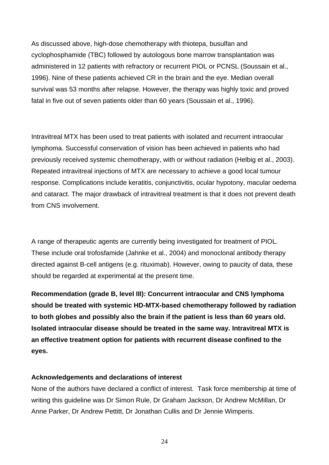As discussed above, high-dose chemotherapy with thiotepa, busulfan and cyclophosphamide (TBC) followed by autologous bone marrow transplantation was administered in 12 patients with refractory or recurrent PIOL or PCNSL (Soussain et al., 1996). Nine of these patients achieved CR in the brain and the eye. Median overall survival was 53 months after relapse. However, the therapy was highly toxic and proved fatal in five out of seven patients older than 60 years (Soussain et al., 1996).

Intravitreal MTX has been used to treat patients with isolated and recurrent intraocular lymphoma. Successful conservation of vision has been achieved in patients who had previously received systemic chemotherapy, with or without radiation (Helbig et al., 2003). Repeated intravitreal injections of MTX are necessary to achieve a good local tumour response. Complications include keratitis, conjunctivitis, ocular hypotony, macular oedema and cataract. The major drawback of intravitreal treatment is that it does not prevent death from CNS involvement.

A range of therapeutic agents are currently being investigated for treatment of PIOL. These include oral trofosfamide (Jahnke et al., 2004) and monoclonal antibody therapy directed against B-cell antigens (e.g. rituximab). However, owing to paucity of data, these should be regarded at experimental at the present time.

**Recommendation (grade B, level III): Concurrent intraocular and CNS lymphoma should be treated with systemic HD-MTX-based chemotherapy followed by radiation to both globes and possibly also the brain if the patient is less than 60 years old. Isolated intraocular disease should be treated in the same way. Intravitreal MTX is an effective treatment option for patients with recurrent disease confined to the eyes.** 

#### **Acknowledgements and declarations of interest**

None of the authors have declared a conflict of interest. Task force membership at time of writing this guideline was Dr Simon Rule, Dr Graham Jackson, Dr Andrew McMillan, Dr Anne Parker, Dr Andrew Pettitt, Dr Jonathan Cullis and Dr Jennie Wimperis.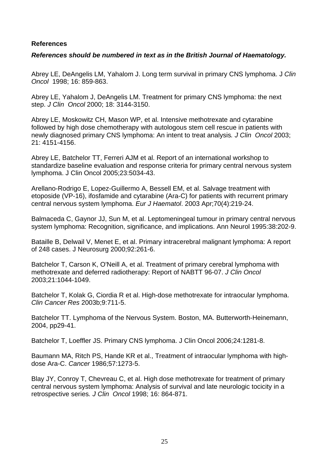#### **References**

#### *References should be numbered in text as in the British Journal of Haematology.*

Abrey LE, DeAngelis LM, Yahalom J. Long term survival in primary CNS lymphoma. J *Clin Oncol* 1998; 16: 859-863.

Abrey LE, Yahalom J, DeAngelis LM. Treatment for primary CNS lymphoma: the next step. *J Clin Oncol* 2000; 18: 3144-3150.

Abrey LE, Moskowitz CH, Mason WP, et al. Intensive methotrexate and cytarabine followed by high dose chemotherapy with autologous stem cell rescue in patients with newly diagnosed primary CNS lymphoma: An intent to treat analysis*. J Clin Oncol* 2003; 21: 4151-4156.

Abrey LE, Batchelor TT, Ferreri AJM et al. Report of an international workshop to standardize baseline evaluation and response criteria for primary central nervous system lymphoma. J Clin Oncol 2005;23:5034-43.

Arellano-Rodrigo E, Lopez-Guillermo A, Bessell EM, et al. Salvage treatment with etoposide (VP-16), ifosfamide and cytarabine (Ara-C) for patients with recurrent primary central nervous system lymphoma. *Eur J Haematol*. 2003 Apr;70(4):219-24.

Balmaceda C, Gaynor JJ, Sun M, et al. Leptomeningeal tumour in primary central nervous system lymphoma: Recognition, significance, and implications. Ann Neurol 1995:38:202-9.

Bataille B, Delwail V, Menet E, et al. Primary intracerebral malignant lymphoma: A report of 248 cases. J Neurosurg 2000;92:261-6.

Batchelor T, Carson K, O'Neill A, et al. Treatment of primary cerebral lymphoma with methotrexate and deferred radiotherapy: Report of NABTT 96-07. *J Clin Oncol* 2003;21:1044-1049.

Batchelor T, Kolak G, Ciordia R et al. High-dose methotrexate for intraocular lymphoma. *Clin Cancer Res* 2003b;9:711-5.

Batchelor TT. Lymphoma of the Nervous System. Boston, MA. Butterworth-Heinemann, 2004, pp29-41.

Batchelor T, Loeffler JS. Primary CNS lymphoma. J Clin Oncol 2006;24:1281-8.

Baumann MA, Ritch PS, Hande KR et al., Treatment of intraocular lymphoma with highdose Ara-C. *Cancer* 1986;57:1273-5.

Blay JY, Conroy T, Chevreau C, et al. High dose methotrexate for treatment of primary central nervous system lymphoma: Analysis of survival and late neurologic tocicity in a retrospective series*. J Clin Oncol* 1998; 16: 864-871.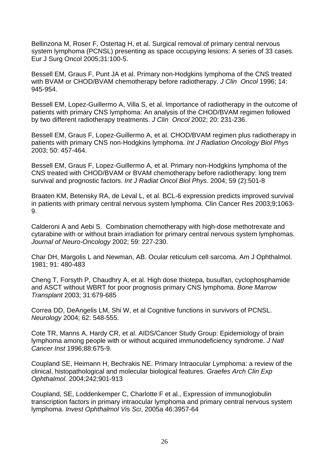Bellinzona M, Roser F, Ostertag H, et al. Surgical removal of primary central nervous system lymphoma (PCNSL) presenting as space occupying lesions: A series of 33 cases. Eur J Surg Oncol 2005;31:100-5.

Bessell EM, Graus F, Punt JA et al. Primary non-Hodgkins lymphoma of the CNS treated with BVAM or CHOD/BVAM chemotherapy before radiotherapy. *J Clin Oncol* 1996; 14: 945-954.

Bessell EM, Lopez-Guillermo A, Villa S, et al. Importance of radiotherapy in the outcome of patients with primary CNS lymphoma: An analysis of the CHOD/BVAM regimen followed by two different radiotherapy treatments. *J Clin Oncol* 2002; 20: 231-236.

Bessell EM, Graus F, Lopez-Guillermo A, et al. CHOD/BVAM regimen plus radiotherapy in patients with primary CNS non-Hodgkins lymphoma. *Int J Radiation Oncology Biol Phys* 2003; 50: 457-464.

Bessell EM, Graus F, Lopez-Guillermo A, et al. Primary non-Hodgkins lymphoma of the CNS treated with CHOD/BVAM or BVAM chemotherapy before radiotherapy: long trem survival and prognostic factors. *Int J Radiat Oncol Biol Phys*. 2004; 59 (2):501-8

Braaten KM, Betensky RA, de Leval L, et al. BCL-6 expression predicts improved survival in patients with primary central nervous system lymphoma. Clin Cancer Res 2003;9;1063- 9.

Calderoni A and Aebi S. Combination chemotherapy with high-dose methotrexate and cytarabine with or without brain irradiation for primary central nervous system lymphomas. *Journal of Neuro-Oncology* 2002; 59: 227-230.

Char DH, Margolis L and Newman, AB. Ocular reticulum cell sarcoma. Am J Ophthalmol. 1981; 91: 480-483

Cheng T, Forsyth P, Chaudhry A, et al. High dose thiotepa, busulfan, cyclophosphamide and ASCT without WBRT for poor prognosis primary CNS lymphoma. *Bone Marrow Transplant* 2003; 31:679-685

Correa DD, DeAngelis LM, Shi W, et al Cognitive functions in survivors of PCNSL. *Neurology* 2004; 62: 548-555.

Cote TR, Manns A, Hardy CR, et al. AIDS/Cancer Study Group: Epidemiology of brain lymphoma among people with or without acquired immunodeficiency syndrome. *J Natl Cancer Inst* 1996;88:675-9.

Coupland SE, Heimann H, Bechrakis NE. Primary Intraocular Lymphoma: a review of the clinical, histopathological and molecular biological features. *Graefes Arch Clin Exp Ophthalmol.* 2004;242;901-913

Coupland, SE, Loddenkemper C, Charlotte F et al., Expression of immunoglobulin transcription factors in primary intraocular lymphoma and primary central nervous system lymphoma. *Invest Ophthalmol Vis Sci*, 2005a 46:3957-64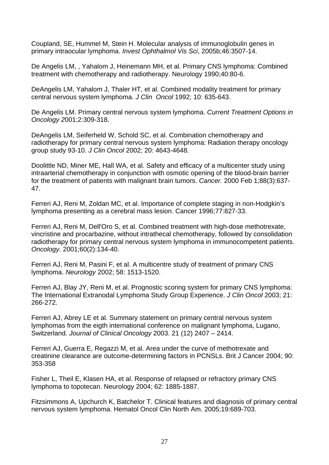Coupland, SE, Hummel M, Stein H. Molecular analysis of immunoglobulin genes in primary intraocular lymphoma. *Invest Ophthalmol Vis Sci*, 2005b;46:3507-14.

De Angelis LM, , Yahalom J, Heinemann MH, et al. Primary CNS lymphoma: Combined treatment with chemotherapy and radiotherapy. Neurology 1990;40:80-6.

DeAngelis LM, Yahalom J, Thaler HT, et al. Combined modality treatment for primary central nervous system lymphoma. *J Clin Oncol* 1992; 10: 635-643.

De Angelis LM. Primary central nervous system lymphoma. *Current Treatment Options in Oncology 2*001;2:309-318.

DeAngelis LM, Seiferheld W, Schold SC, et al. Combination chemotherapy and radiotherapy for primary central nervous system lymphoma: Radiation therapy oncology group study 93-10. *J Clin Oncol* 2002; 20: 4643-4648.

Doolittle ND, Miner ME, Hall WA, et al. Safety and efficacy of a multicenter study using intraarterial chemotherapy in conjunction with osmotic opening of the blood-brain barrier for the treatment of patients with malignant brain tumors. *Cancer.* 2000 Feb 1;88(3):637- 47.

Ferreri AJ, Reni M, Zoldan MC, et al. Importance of complete staging in non-Hodgkin's lymphoma presenting as a cerebral mass lesion. Cancer 1996;77:827-33.

Ferreri AJ, Reni M, Dell'Oro S, et al. Combined treatment with high-dose methotrexate, vincristine and procarbazine, without intrathecal chemotherapy, followed by consolidation radiotherapy for primary central nervous system lymphoma in immunocompetent patients. *Oncology.* 2001;60(2):134-40.

Ferreri AJ, Reni M, Pasini F, et al. A multicentre study of treatment of primary CNS lymphoma. *Neurology* 2002; 58: 1513-1520.

Ferreri AJ, Blay JY, Reni M, et al. Prognostic scoring system for primary CNS lymphoma: The International Extranodal Lymphoma Study Group Experience. *J Clin Oncol* 2003; 21: 266-272.

Ferreri AJ, Abrey LE et al. Summary statement on primary central nervous system lymphomas from the eigth international conference on malignant lymphoma, Lugano, Switzerland*. Journal of Clinical Oncology* 2003. 21 (12) 2407 – 2414.

Ferreri AJ, Guerra E, Regazzi M, et al. Area under the curve of methotrexate and creatinine clearance are outcome-determining factors in PCNSLs. Brit J Cancer 2004; 90: 353-358

Fisher L, Theil E, Klasen HA, et al. Response of relapsed or refractory primary CNS lymphoma to topotecan. Neurology 2004; 62: 1885-1887.

Fitzsimmons A, Upchurch K, Batchelor T. Clinical features and diagnosis of primary central nervous system lymphoma. Hematol Oncol Clin North Am. 2005;19:689-703.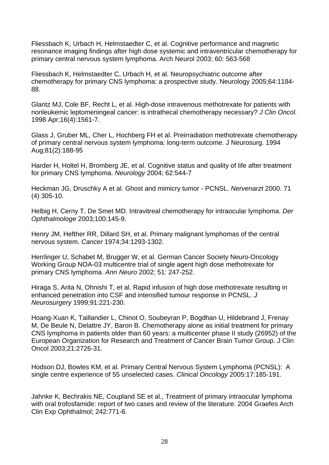Fliessbach K, Urbach H, Helmstaedter C, et al. Cognitive performance and magnetic resonance imaging findings after high dose systemic and intraventricular chemotherapy for primary central nervous system lymphoma. Arch Neurol 2003; 60: 563-568

Fliessbach K, Helmstaedter C, Urbach H, et al. Neuropsychiatric outcome after chemotherapy for primary CNS lymphoma: a prospective study. Neurology 2005;64:1184- 88.

Glantz MJ, Cole BF, Recht L, et al. High-dose intravenous methotrexate for patients with nonleukemic leptomeningeal cancer: is intrathecal chemotherapy necessary? *J Clin Oncol.* 1998 Apr;16(4):1561-7.

Glass J, Gruber ML, Cher L, Hochberg FH et al. Preirradiation methotrexate chemotherapy of primary central nervous system lymphoma: long-term outcome. J Neurosurg. 1994 Aug;81(2):188-95

Harder H, Holtel H, Bromberg JE, et al. Cognitive status and quality of life after treatment for primary CNS lymphoma. *Neurology* 2004; 62:544-7

Heckman JG, Druschky A et al. Ghost and mimicry tumor - PCNSL. *Nervenarzt* 2000. 71 (4) 305-10.

Helbig H, Cerny T, De Smet MD. Intravitreal chemotherapy for intraocular lymphoma. *Der Ophthalmologe* 2003;100:145-9.

Henry JM, Hefther RR, Dillard SH, et al. Primary malignant lymphomas of the central nervous system. *Cancer* 1974;34:1293-1302.

Herrlinger U, Schabet M, Brugger W, et al. German Cancer Society Neuro-Oncology Working Group NOA-03 multicentre trial of single agent high dose methotrexate for primary CNS lymphoma. *Ann Neuro* 2002; 51: 247-252.

Hiraga S, Arita N, Ohnishi T, et al. Rapid infusion of high dose methotrexate resulting in enhanced penetration into CSF and intensified tumour response in PCNSL. *J Neurosurgery* 1999;91:221-230.

Hoang-Xuan K, Taillandier L, Chinot O, Soubeyran P, Bogdhan U, Hildebrand J, Frenay M, De Beule N, Delattre JY, Baron B. Chemotherapy alone as initial treatment for primary CNS lymphoma in patients older than 60 years: a multicenter phase II study (26952) of the European Organization for Research and Treatment of Cancer Brain Tumor Group. J Clin Oncol 2003;21:2726-31.

Hodson DJ, Bowles KM, et al. Primary Central Nervous System Lymphoma (PCNSL): A single centre experience of 55 unselected cases. *Clinical Oncology* 2005:17:185-191.

Jahnke K, Bechrakis NE, Coupland SE et al., Treatment of primary intraocular lymphoma with oral trofosfamide: report of two cases and review of the literature. 2004 Graefes Arch Clin Exp Ophthalmol; 242:771-6.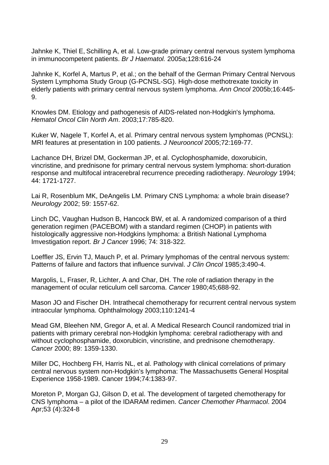Jahnke K, Thiel E, Schilling A, et al. Low-grade primary central nervous system lymphoma in immunocompetent patients. *Br J Haematol.* 2005a;128:616-24

Jahnke K, Korfel A, Martus P, et al.; on the behalf of the German Primary Central Nervous System Lymphoma Study Group (G-PCNSL-SG). High-dose methotrexate toxicity in elderly patients with primary central nervous system lymphoma. *Ann Oncol* 2005b;16:445- 9.

Knowles DM. Etiology and pathogenesis of AIDS-related non-Hodgkin's lymphoma. *Hematol Oncol Clin North Am*. 2003;17:785-820.

Kuker W, Nagele T, Korfel A, et al. Primary central nervous system lymphomas (PCNSL): MRI features at presentation in 100 patients. *J Neurooncol* 2005;72:169-77.

Lachance DH, Brizel DM, Gockerman JP, et al. Cyclophosphamide, doxorubicin, vincristine, and prednisone for primary central nervous system lymphoma: short-duration response and multifocal intracerebral recurrence preceding radiotherapy. *Neurology* 1994; 44: 1721-1727.

Lai R, Rosenblum MK, DeAngelis LM. Primary CNS Lymphoma: a whole brain disease? *Neurology* 2002; 59: 1557-62.

Linch DC, Vaughan Hudson B, Hancock BW, et al. A randomized comparison of a third generation regimen (PACEBOM) with a standard regimen (CHOP) in patients with histologically aggressive non-Hodgkins lymphoma: a British National Lymphoma Imvestigation report. *Br J Cancer* 1996; 74: 318-322.

Loeffler JS, Ervin TJ, Mauch P, et al. Primary lymphomas of the central nervous system: Patterns of failure and factors that influence survival. *J Clin Oncol* 1985;3:490-4.

Margolis, L, Fraser, R, Lichter, A and Char, DH. The role of radiation therapy in the management of ocular reticulum cell sarcoma. *Cancer* 1980;45;688-92.

Mason JO and Fischer DH. Intrathecal chemotherapy for recurrent central nervous system intraocular lymphoma. Ophthalmology 2003;110:1241-4

Mead GM, Bleehen NM, Gregor A, et al. A Medical Research Council randomized trial in patients with primary cerebral non-Hodgkin lymphoma: cerebral radiotherapy with and without cyclophosphamide, doxorubicin, vincristine, and prednisone chemotherapy. *Cancer* 2000; 89: 1359-1330.

Miller DC, Hochberg FH, Harris NL, et al. Pathology with clinical correlations of primary central nervous system non-Hodgkin's lymphoma: The Massachusetts General Hospital Experience 1958-1989. Cancer 1994;74:1383-97.

Moreton P, Morgan GJ, Gilson D, et al. The development of targeted chemotherapy for CNS lymphoma – a pilot of the IDARAM redimen. *Cancer Chemother Pharmacol*. 2004 Apr;53 (4):324-8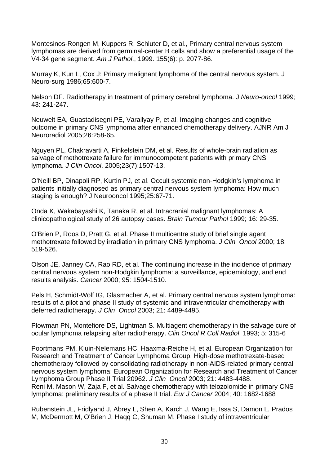Montesinos-Rongen M, Kuppers R, Schluter D, et al., Primary central nervous system lymphomas are derived from germinal-center B cells and show a preferential usage of the V4-34 gene segment. *Am J Pathol*., 1999. 155(6): p. 2077-86.

Murray K, Kun L, Cox J: Primary malignant lymphoma of the central nervous system. J Neuro-surg 1986;65:600-7.

Nelson DF. Radiotherapy in treatment of primary cerebral lymphoma. J *Neuro-oncol* 1999*;*  43: 241-247.

Neuwelt EA, Guastadisegni PE, Varallyay P, et al. Imaging changes and cognitive outcome in primary CNS lymphoma after enhanced chemotherapy delivery. AJNR Am J Neuroradiol 2005;26:258-65.

Nguyen PL, Chakravarti A, Finkelstein DM, et al. Results of whole-brain radiation as salvage of methotrexate failure for immunocompetent patients with primary CNS lymphoma. *J Clin Oncol*. 2005;23(7):1507-13.

O'Neill BP, Dinapoli RP, Kurtin PJ, et al. Occult systemic non-Hodgkin's lymphoma in patients initially diagnosed as primary central nervous system lymphoma: How much staging is enough? J Neurooncol 1995;25:67-71.

Onda K, Wakabayashi K, Tanaka R, et al. Intracranial malignant lymphomas: A clinicopathological study of 26 autopsy cases. *Brain Tumour Pathol* 1999; 16: 29-35.

O'Brien P, Roos D, Pratt G, et al. Phase II multicentre study of brief single agent methotrexate followed by irradiation in primary CNS lymphoma. *J Clin Oncol* 2000; 18: 519-526.

Olson JE, Janney CA, Rao RD, et al. The continuing increase in the incidence of primary central nervous system non-Hodgkin lymphoma: a surveillance, epidemiology, and end results analysis. *Cancer* 2000; 95: 1504-1510.

Pels H, Schmidt-Wolf IG, Glasmacher A, et al. Primary central nervous system lymphoma: results of a pilot and phase II study of systemic and intraventricular chemotherapy with deferred radiotherapy. *J Clin Oncol* 2003; 21: 4489-4495.

Plowman PN, Montefiore DS, Lightman S. Multiagent chemotherapy in the salvage cure of ocular lymphoma relapsing after radiotherapy. *Clin Oncol R Coll Radiol*. 1993; 5: 315-6

Poortmans PM, Kluin-Nelemans HC, Haaxma-Reiche H, et al. European Organization for Research and Treatment of Cancer Lymphoma Group. High-dose methotrexate-based chemotherapy followed by consolidating radiotherapy in non-AIDS-related primary central nervous system lymphoma: European Organization for Research and Treatment of Cancer Lymphoma Group Phase II Trial 20962. *J Clin Oncol* 2003; 21: 4483-4488. Reni M, Mason W, Zaja F, et al. Salvage chemotherapy with telozolomide in primary CNS lymphoma: preliminary results of a phase II trial. *Eur J Cancer* 2004; 40: 1682-1688

Rubenstein JL, Fridlyand J, Abrey L, Shen A, Karch J, Wang E, Issa S, Damon L, Prados M, McDermott M, O'Brien J, Haqq C, Shuman M. Phase I study of intraventricular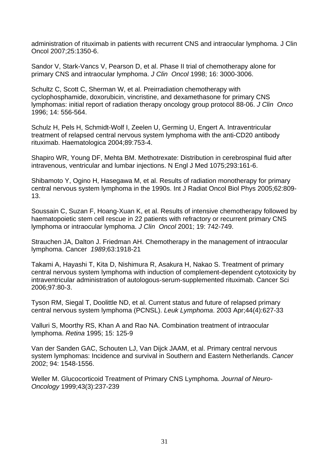administration of rituximab in patients with recurrent CNS and intraocular lymphoma. J Clin Oncol 2007;25:1350-6.

Sandor V, Stark-Vancs V, Pearson D, et al. Phase II trial of chemotherapy alone for primary CNS and intraocular lymphoma. *J Clin Oncol* 1998; 16: 3000-3006.

Schultz C, Scott C, Sherman W, et al. Preirradiation chemotherapy with cyclophosphamide, doxorubicin, vincristine, and dexamethasone for primary CNS lymphomas: initial report of radiation therapy oncology group protocol 88-06. *J Clin Onco*  1996; 14: 556-564.

Schulz H, Pels H, Schmidt-Wolf I, Zeelen U, Germing U, Engert A. Intraventricular treatment of relapsed central nervous system lymphoma with the anti-CD20 antibody rituximab. Haematologica 2004;89:753-4.

Shapiro WR, Young DF, Mehta BM. Methotrexate: Distribution in cerebrospinal fluid after intravenous, ventricular and lumbar injections. N Engl J Med 1075;293:161-6.

Shibamoto Y, Ogino H, Hasegawa M, et al. Results of radiation monotherapy for primary central nervous system lymphoma in the 1990s. Int J Radiat Oncol Biol Phys 2005;62:809- 13.

Soussain C, Suzan F, Hoang-Xuan K, et al. Results of intensive chemotherapy followed by haematopoietic stem cell rescue in 22 patients with refractory or recurrent primary CNS lymphoma or intraocular lymphoma. *J Clin Oncol* 2001; 19: 742-749.

Strauchen JA, Dalton J. Friedman AH. Chemotherapy in the management of intraocular lymphoma. Cancer *1989*;63:1918-21

Takami A, Hayashi T, Kita D, Nishimura R, Asakura H, Nakao S. Treatment of primary central nervous system lymphoma with induction of complement-dependent cytotoxicity by intraventricular administration of autologous-serum-supplemented rituximab. Cancer Sci 2006;97:80-3.

Tyson RM, Siegal T, Doolittle ND, et al. Current status and future of relapsed primary central nervous system lymphoma (PCNSL). *Leuk Lymphoma*. 2003 Apr;44(4):627-33

Valluri S, Moorthy RS, Khan A and Rao NA. Combination treatment of intraocular lymphoma. *Retina* 1995; 15: 125-9

Van der Sanden GAC, Schouten LJ, Van Dijck JAAM, et al. Primary central nervous system lymphomas: Incidence and survival in Southern and Eastern Netherlands. *Cancer*  2002; 94: 1548-1556.

Weller M. Glucocorticoid Treatment of Primary CNS Lymphoma. *Journal of Neuro-Oncology* 1999;43(3):237-239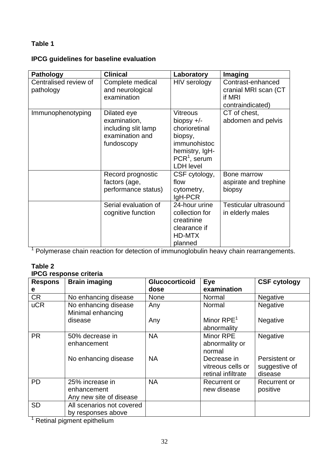# **Table 1**

# **IPCG guidelines for baseline evaluation**

| <b>Pathology</b>                   | <b>Clinical</b>                                                                     | Laboratory                                                                                                                          | Imaging                                                                 |
|------------------------------------|-------------------------------------------------------------------------------------|-------------------------------------------------------------------------------------------------------------------------------------|-------------------------------------------------------------------------|
| Centralised review of<br>pathology | Complete medical<br>and neurological<br>examination                                 | HIV serology                                                                                                                        | Contrast-enhanced<br>cranial MRI scan (CT<br>if MRI<br>contraindicated) |
| Immunophenotyping                  | Dilated eye<br>examination,<br>including slit lamp<br>examination and<br>fundoscopy | <b>Vitreous</b><br>biopsy $+/-$<br>chorioretinal<br>biopsy,<br>immunohistoc<br>hemistry, IgH-<br>$PCR1$ , serum<br><b>LDH</b> level | CT of chest,<br>abdomen and pelvis                                      |
|                                    | Record prognostic<br>factors (age,<br>performance status)                           | CSF cytology,<br>flow<br>cytometry,<br>$IgH-PCR$                                                                                    | Bone marrow<br>aspirate and trephine<br>biopsy                          |
|                                    | Serial evaluation of<br>cognitive function                                          | 24-hour urine<br>collection for<br>creatinine<br>clearance if<br>HD-MTX<br>planned                                                  | <b>Testicular ultrasound</b><br>in elderly males                        |

<sup>1</sup> Polymerase chain reaction for detection of immunoglobulin heavy chain rearrangements.

## **Table 2**

# **IPCG response criteria**

| <b>Respons</b>                                   | <b>Brain imaging</b>                                      | <b>Glucocorticoid</b> | <b>Eye</b>                                             | <b>CSF cytology</b>                       |
|--------------------------------------------------|-----------------------------------------------------------|-----------------------|--------------------------------------------------------|-------------------------------------------|
| e                                                |                                                           | dose                  | examination                                            |                                           |
| <b>CR</b>                                        | No enhancing disease                                      | <b>None</b>           | Normal                                                 | Negative                                  |
| <b>uCR</b>                                       | No enhancing disease<br>Minimal enhancing                 | Any                   | Normal                                                 | Negative                                  |
|                                                  | disease                                                   | Any                   | Minor $RPE1$<br>abnormality                            | Negative                                  |
| <b>PR</b>                                        | 50% decrease in<br>enhancement                            | <b>NA</b>             | Minor RPE<br>abnormality or<br>normal                  | Negative                                  |
|                                                  | No enhancing disease                                      | <b>NA</b>             | Decrease in<br>vitreous cells or<br>retinal infiltrate | Persistent or<br>suggestive of<br>disease |
| <b>PD</b>                                        | 25% increase in<br>enhancement<br>Any new site of disease | <b>NA</b>             | Recurrent or<br>new disease                            | Recurrent or<br>positive                  |
| <b>SD</b><br>the contract of the contract of the | All scenarios not covered<br>by responses above           |                       |                                                        |                                           |

1 Retinal pigment epithelium